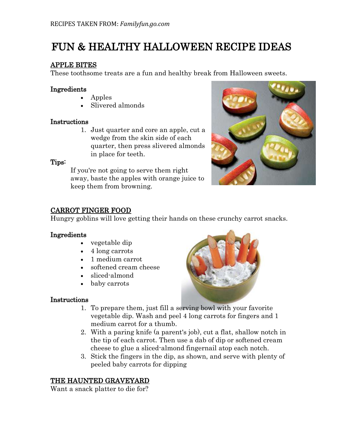# FUN & HEALTHY HALLOWEEN RECIPE IDEAS

## APPLE BITES

These toothsome treats are a fun and healthy break from Halloween sweets.

#### Ingredients

- Apples
- Slivered almonds

#### **Instructions**

1. Just quarter and core an apple, cut a wedge from the skin side of each quarter, then press slivered almonds in place for teeth.

#### Tips:

If you're not going to serve them right away, baste the apples with orange juice to keep them from browning.



# CARROT FINGER FOOD

Hungry goblins will love getting their hands on these crunchy carrot snacks.

#### Ingredients

- vegetable dip
- 4 long carrots
- 1 medium carrot
- softened cream cheese
- sliced-almond
- baby carrots

#### **Instructions**

- 
- 1. To prepare them, just fill a serving bowl with your favorite vegetable dip. Wash and peel 4 long carrots for fingers and 1 medium carrot for a thumb.
- 2. With a paring knife (a parent's job), cut a flat, shallow notch in the tip of each carrot. Then use a dab of dip or softened cream cheese to glue a sliced-almond fingernail atop each notch.
- 3. Stick the fingers in the dip, as shown, and serve with plenty of peeled baby carrots for dipping

# THE HAUNTED GRAVEYARD

Want a snack platter to die for?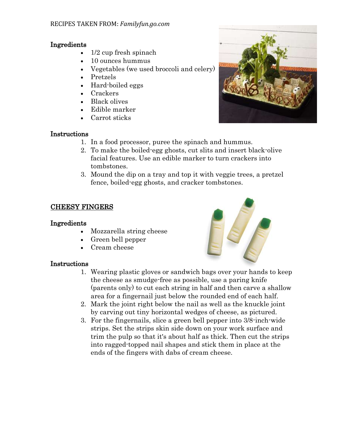## Ingredients

- 1/2 cup fresh spinach
- 10 ounces hummus
- Vegetables (we used broccoli and celery)
- Pretzels
- Hard-boiled eggs
- Crackers
- Black olives
- Edible marker
- Carrot sticks

# Instructions

- 1. In a food processor, puree the spinach and hummus.
- 2. To make the boiled-egg ghosts, cut slits and insert black-olive facial features. Use an edible marker to turn crackers into tombstones.
- 3. Mound the dip on a tray and top it with veggie trees, a pretzel fence, boiled-egg ghosts, and cracker tombstones.

# CHEESY FINGERS

#### Ingredients

- Mozzarella string cheese
- Green bell pepper
- Cream cheese

# Instructions

- 1. Wearing plastic gloves or sandwich bags over your hands to keep the cheese as smudge-free as possible, use a paring knife (parents only) to cut each string in half and then carve a shallow area for a fingernail just below the rounded end of each half.
- 2. Mark the joint right below the nail as well as the knuckle joint by carving out tiny horizontal wedges of cheese, as pictured.
- 3. For the fingernails, slice a green bell pepper into 3/8-inch-wide strips. Set the strips skin side down on your work surface and trim the pulp so that it's about half as thick. Then cut the strips into ragged-topped nail shapes and stick them in place at the ends of the fingers with dabs of cream cheese.